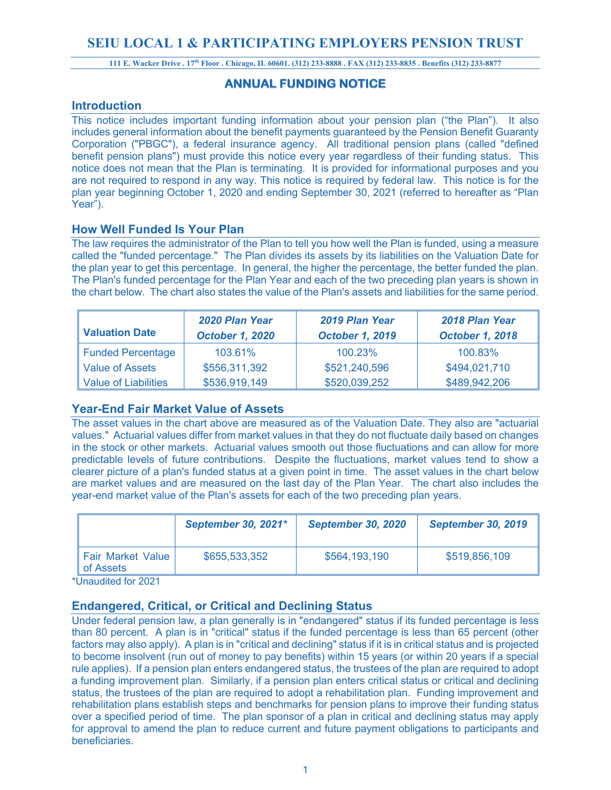# **SEIU LOCAL 1 & PARTICIPATING EMPLOYERS PENSION TRUST**

**111 E. Wacker Drive . 17th Floor . Chicago, IL 60601. (312) 233-8888 . FAX (312) 233-8835 . Benefits (312) 233-8877**

# **ANNUAL FUNDING NOTICE**

# **Introduction**

This notice includes important funding information about your pension plan ("the Plan"). It also includes general information about the benefit payments guaranteed by the Pension Benefit Guaranty Corporation ("PBGC"), a federal insurance agency. All traditional pension plans (called "defined benefit pension plans") must provide this notice every year regardless of their funding status. This notice does not mean that the Plan is terminating. It is provided for informational purposes and you are not required to respond in any way. This notice is required by federal law. This notice is for the plan year beginning October 1, 2020 and ending September 30, 2021 (referred to hereafter as "Plan Year").

# **How Well Funded Is Your Plan**

The law requires the administrator of the Plan to tell you how well the Plan is funded, using a measure called the "funded percentage." The Plan divides its assets by its liabilities on the Valuation Date for the plan year to get this percentage. In general, the higher the percentage, the better funded the plan. The Plan's funded percentage for the Plan Year and each of the two preceding plan years is shown in the chart below. The chart also states the value of the Plan's assets and liabilities for the same period.

| <b>Valuation Date</b>       | 2020 Plan Year<br><b>October 1, 2020</b> | 2019 Plan Year<br><b>October 1, 2019</b> | 2018 Plan Year<br><b>October 1, 2018</b> |
|-----------------------------|------------------------------------------|------------------------------------------|------------------------------------------|
| <b>Funded Percentage</b>    | 103.61%                                  | 100.23%                                  | 100.83%                                  |
| <b>Value of Assets</b>      | \$556,311,392                            | \$521,240,596                            | \$494,021,710                            |
| <b>Value of Liabilities</b> | \$536,919,149                            | \$520,039,252                            | \$489,942,206                            |

# **Year-End Fair Market Value of Assets**

The asset values in the chart above are measured as of the Valuation Date. They also are "actuarial values." Actuarial values differ from market values in that they do not fluctuate daily based on changes in the stock or other markets. Actuarial values smooth out those fluctuations and can allow for more predictable levels of future contributions. Despite the fluctuations, market values tend to show a clearer picture of a plan's funded status at a given point in time. The asset values in the chart below are market values and are measured on the last day of the Plan Year. The chart also includes the year-end market value of the Plan's assets for each of the two preceding plan years.

|                                | <b>September 30, 2021*</b> | <b>September 30, 2020</b> | <b>September 30, 2019</b> |
|--------------------------------|----------------------------|---------------------------|---------------------------|
| Fair Market Value<br>of Assets | \$655,533,352              | \$564,193,190             | \$519,856,109             |

\*Unaudited for 2021

# **Endangered, Critical, or Critical and Declining Status**

Under federal pension law, a plan generally is in "endangered" status if its funded percentage is less than 80 percent. A plan is in "critical" status if the funded percentage is less than 65 percent (other factors may also apply). A plan is in "critical and declining" status if it is in critical status and is projected to become insolvent (run out of money to pay benefits) within 15 years (or within 20 years if a special rule applies). If a pension plan enters endangered status, the trustees of the plan are required to adopt a funding improvement plan. Similarly, if a pension plan enters critical status or critical and declining status, the trustees of the plan are required to adopt a rehabilitation plan. Funding improvement and rehabilitation plans establish steps and benchmarks for pension plans to improve their funding status over a specified period of time. The plan sponsor of a plan in critical and declining status may apply for approval to amend the plan to reduce current and future payment obligations to participants and beneficiaries.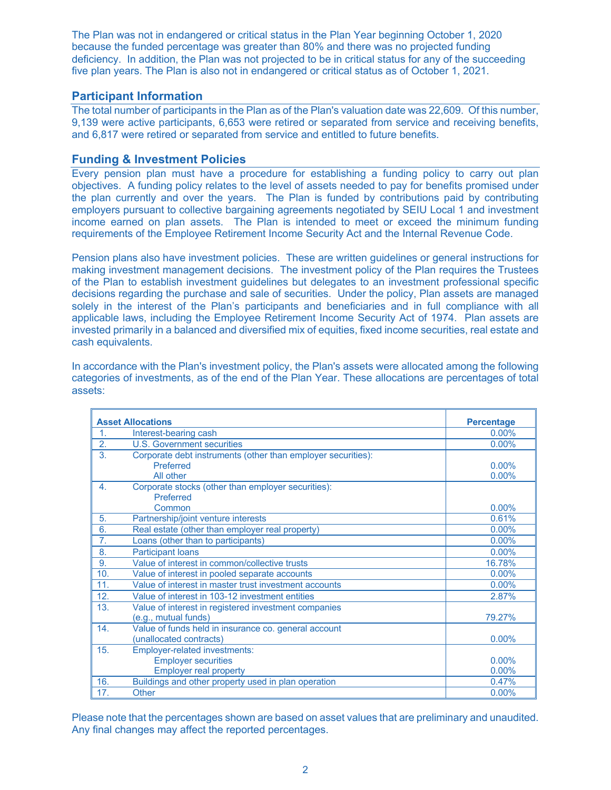The Plan was not in endangered or critical status in the Plan Year beginning October 1, 2020 because the funded percentage was greater than 80% and there was no projected funding deficiency. In addition, the Plan was not projected to be in critical status for any of the succeeding five plan years. The Plan is also not in endangered or critical status as of October 1, 2021.

# **Participant Information**

The total number of participants in the Plan as of the Plan's valuation date was 22,609. Of this number, 9,139 were active participants, 6,653 were retired or separated from service and receiving benefits, and 6,817 were retired or separated from service and entitled to future benefits.

# **Funding & Investment Policies**

Every pension plan must have a procedure for establishing a funding policy to carry out plan objectives. A funding policy relates to the level of assets needed to pay for benefits promised under the plan currently and over the years. The Plan is funded by contributions paid by contributing employers pursuant to collective bargaining agreements negotiated by SEIU Local 1 and investment income earned on plan assets. The Plan is intended to meet or exceed the minimum funding requirements of the Employee Retirement Income Security Act and the Internal Revenue Code.

Pension plans also have investment policies. These are written guidelines or general instructions for making investment management decisions. The investment policy of the Plan requires the Trustees of the Plan to establish investment guidelines but delegates to an investment professional specific decisions regarding the purchase and sale of securities. Under the policy, Plan assets are managed solely in the interest of the Plan's participants and beneficiaries and in full compliance with all applicable laws, including the Employee Retirement Income Security Act of 1974. Plan assets are invested primarily in a balanced and diversified mix of equities, fixed income securities, real estate and cash equivalents.

| <b>Asset Allocations</b> |                                                                                                     | <b>Percentage</b> |
|--------------------------|-----------------------------------------------------------------------------------------------------|-------------------|
| 1.                       | Interest-bearing cash                                                                               | $0.00\%$          |
| 2.                       | <b>U.S. Government securities</b>                                                                   | $0.00\%$          |
| 3.                       | Corporate debt instruments (other than employer securities):<br>Preferred                           | $0.00\%$          |
|                          | All other                                                                                           | 0.00%             |
| 4.                       | Corporate stocks (other than employer securities):<br><b>Preferred</b>                              |                   |
|                          | Common                                                                                              | $0.00\%$          |
| 5.                       | Partnership/joint venture interests                                                                 | 0.61%             |
| 6.                       | Real estate (other than employer real property)                                                     | $0.00\%$          |
| 7 <sub>1</sub>           | Loans (other than to participants)                                                                  | 0.00%             |
| 8.                       | <b>Participant loans</b>                                                                            | $0.00\%$          |
| 9.                       | Value of interest in common/collective trusts                                                       | 16.78%            |
| 10.                      | Value of interest in pooled separate accounts                                                       | 0.00%             |
| 11.                      | Value of interest in master trust investment accounts                                               | $0.00\%$          |
| 12.                      | Value of interest in 103-12 investment entities                                                     | 2.87%             |
| 13.                      | Value of interest in registered investment companies<br>(e.g., mutual funds)                        | 79.27%            |
| 14.                      | Value of funds held in insurance co. general account<br>(unallocated contracts)                     | $0.00\%$          |
| 15.                      | <b>Employer-related investments:</b><br><b>Employer securities</b><br><b>Employer real property</b> | $0.00\%$<br>0.00% |
| 16.                      | Buildings and other property used in plan operation                                                 | 0.47%             |
| 17.                      | <b>Other</b>                                                                                        | $0.00\%$          |

In accordance with the Plan's investment policy, the Plan's assets were allocated among the following categories of investments, as of the end of the Plan Year. These allocations are percentages of total assets:

Please note that the percentages shown are based on asset values that are preliminary and unaudited. Any final changes may affect the reported percentages.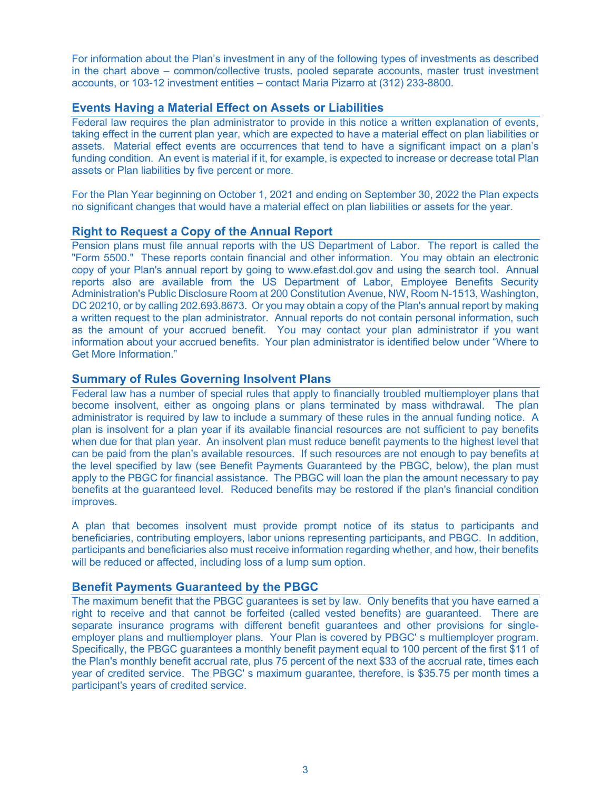For information about the Plan's investment in any of the following types of investments as described in the chart above – common/collective trusts, pooled separate accounts, master trust investment accounts, or 103-12 investment entities – contact Maria Pizarro at (312) 233-8800.

# **Events Having a Material Effect on Assets or Liabilities**

Federal law requires the plan administrator to provide in this notice a written explanation of events, taking effect in the current plan year, which are expected to have a material effect on plan liabilities or assets. Material effect events are occurrences that tend to have a significant impact on a plan's funding condition. An event is material if it, for example, is expected to increase or decrease total Plan assets or Plan liabilities by five percent or more.

For the Plan Year beginning on October 1, 2021 and ending on September 30, 2022 the Plan expects no significant changes that would have a material effect on plan liabilities or assets for the year.

# **Right to Request a Copy of the Annual Report**

Pension plans must file annual reports with the US Department of Labor. The report is called the "Form 5500." These reports contain financial and other information. You may obtain an electronic copy of your Plan's annual report by going to www.efast.dol.gov and using the search tool. Annual reports also are available from the US Department of Labor, Employee Benefits Security Administration's Public Disclosure Room at 200 Constitution Avenue, NW, Room N-1513, Washington, DC 20210, or by calling 202.693.8673. Or you may obtain a copy of the Plan's annual report by making a written request to the plan administrator. Annual reports do not contain personal information, such as the amount of your accrued benefit. You may contact your plan administrator if you want information about your accrued benefits. Your plan administrator is identified below under "Where to Get More Information."

# **Summary of Rules Governing Insolvent Plans**

Federal law has a number of special rules that apply to financially troubled multiemployer plans that become insolvent, either as ongoing plans or plans terminated by mass withdrawal. The plan administrator is required by law to include a summary of these rules in the annual funding notice. A plan is insolvent for a plan year if its available financial resources are not sufficient to pay benefits when due for that plan year. An insolvent plan must reduce benefit payments to the highest level that can be paid from the plan's available resources. If such resources are not enough to pay benefits at the level specified by law (see Benefit Payments Guaranteed by the PBGC, below), the plan must apply to the PBGC for financial assistance. The PBGC will loan the plan the amount necessary to pay benefits at the guaranteed level. Reduced benefits may be restored if the plan's financial condition improves.

A plan that becomes insolvent must provide prompt notice of its status to participants and beneficiaries, contributing employers, labor unions representing participants, and PBGC. In addition, participants and beneficiaries also must receive information regarding whether, and how, their benefits will be reduced or affected, including loss of a lump sum option.

# **Benefit Payments Guaranteed by the PBGC**

The maximum benefit that the PBGC guarantees is set by law. Only benefits that you have earned a right to receive and that cannot be forfeited (called vested benefits) are guaranteed. There are separate insurance programs with different benefit guarantees and other provisions for singleemployer plans and multiemployer plans. Your Plan is covered by PBGC' s multiemployer program. Specifically, the PBGC guarantees a monthly benefit payment equal to 100 percent of the first \$11 of the Plan's monthly benefit accrual rate, plus 75 percent of the next \$33 of the accrual rate, times each year of credited service. The PBGC' s maximum guarantee, therefore, is \$35.75 per month times a participant's years of credited service.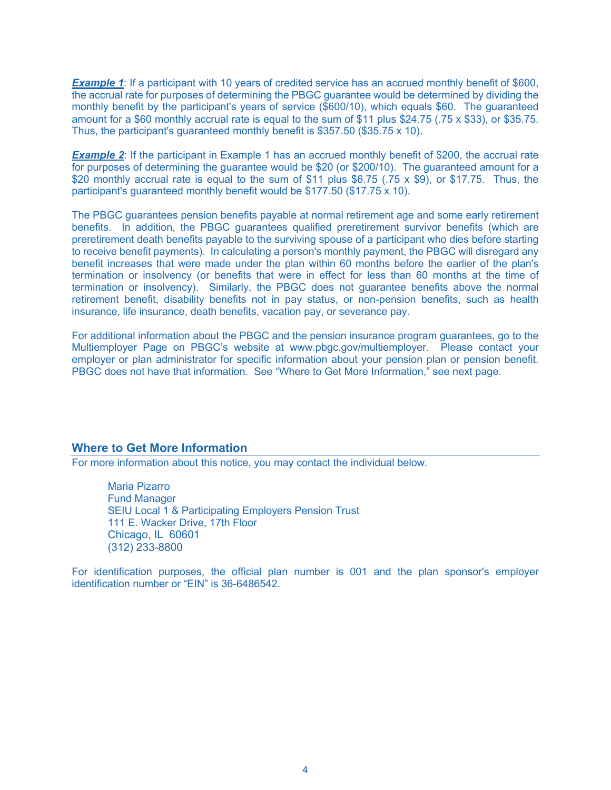**Example 1:** If a participant with 10 years of credited service has an accrued monthly benefit of \$600, the accrual rate for purposes of determining the PBGC guarantee would be determined by dividing the monthly benefit by the participant's years of service (\$600/10), which equals \$60. The guaranteed amount for a \$60 monthly accrual rate is equal to the sum of \$11 plus \$24.75 (.75 x \$33), or \$35.75. Thus, the participant's guaranteed monthly benefit is \$357.50 (\$35.75 x 10).

**Example 2:** If the participant in Example 1 has an accrued monthly benefit of \$200, the accrual rate for purposes of determining the guarantee would be \$20 (or \$200/10). The guaranteed amount for a \$20 monthly accrual rate is equal to the sum of \$11 plus \$6.75 (.75 x \$9), or \$17.75. Thus, the participant's guaranteed monthly benefit would be \$177.50 (\$17.75 x 10).

The PBGC guarantees pension benefits payable at normal retirement age and some early retirement benefits. In addition, the PBGC guarantees qualified preretirement survivor benefits (which are preretirement death benefits payable to the surviving spouse of a participant who dies before starting to receive benefit payments). In calculating a person's monthly payment, the PBGC will disregard any benefit increases that were made under the plan within 60 months before the earlier of the plan's termination or insolvency (or benefits that were in effect for less than 60 months at the time of termination or insolvency). Similarly, the PBGC does not guarantee benefits above the normal retirement benefit, disability benefits not in pay status, or non-pension benefits, such as health insurance, life insurance, death benefits, vacation pay, or severance pay.

For additional information about the PBGC and the pension insurance program guarantees, go to the Multiemployer Page on PBGC's website at www.pbgc.gov/multiemployer. Please contact your employer or plan administrator for specific information about your pension plan or pension benefit. PBGC does not have that information. See "Where to Get More Information," see next page.

#### **Where to Get More Information**

For more information about this notice, you may contact the individual below.

Maria Pizarro Fund Manager SEIU Local 1 & Participating Employers Pension Trust 111 E. Wacker Drive, 17th Floor Chicago, IL 60601 (312) 233-8800

For identification purposes, the official plan number is 001 and the plan sponsor's employer identification number or "EIN" is 36-6486542.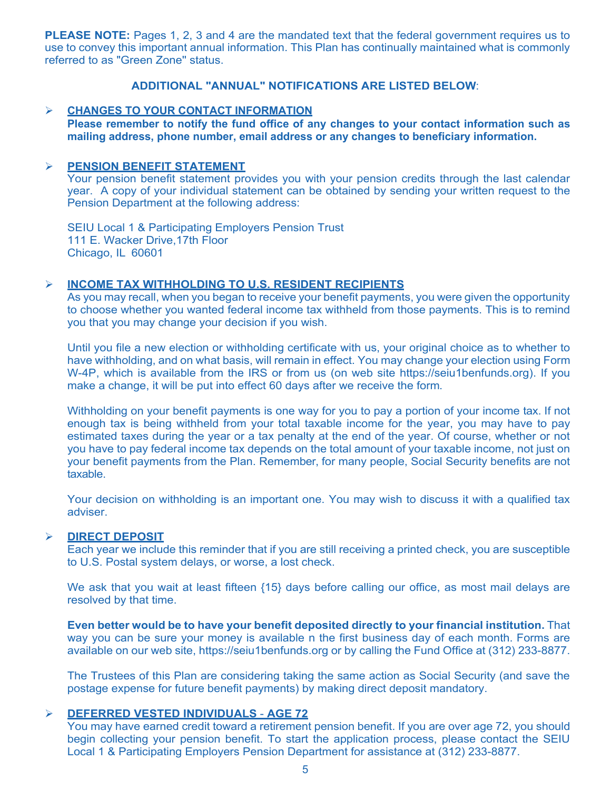**PLEASE NOTE:** Pages 1, 2, 3 and 4 are the mandated text that the federal government requires us to use to convey this important annual information. This Plan has continually maintained what is commonly referred to as "Green Zone'' status.

# **ADDITIONAL "ANNUAL" NOTIFICATIONS ARE LISTED BELOW**:

#### Ø **CHANGES TO YOUR CONTACT INFORMATION**

**Please remember to notify the fund office of any changes to your contact information such as mailing address, phone number, email address or any changes to beneficiary information.**

#### Ø **PENSION BENEFIT STATEMENT**

Your pension benefit statement provides you with your pension credits through the last calendar year. A copy of your individual statement can be obtained by sending your written request to the Pension Department at the following address:

SEIU Local 1 & Participating Employers Pension Trust 111 E. Wacker Drive,17th Floor Chicago, IL 60601

#### Ø **INCOME TAX WITHHOLDING TO U.S. RESIDENT RECIPIENTS**

As you may recall, when you began to receive your benefit payments, you were given the opportunity to choose whether you wanted federal income tax withheld from those payments. This is to remind you that you may change your decision if you wish.

Until you file a new election or withholding certificate with us, your original choice as to whether to have withholding, and on what basis, will remain in effect. You may change your election using Form W-4P, which is available from the IRS or from us (on web site https://seiu1benfunds.org). If you make a change, it will be put into effect 60 days after we receive the form.

Withholding on your benefit payments is one way for you to pay a portion of your income tax. If not enough tax is being withheld from your total taxable income for the year, you may have to pay estimated taxes during the year or a tax penalty at the end of the year. Of course, whether or not you have to pay federal income tax depends on the total amount of your taxable income, not just on your benefit payments from the Plan. Remember, for many people, Social Security benefits are not taxable.

Your decision on withholding is an important one. You may wish to discuss it with a qualified tax adviser.

#### Ø **DIRECT DEPOSIT**

Each year we include this reminder that if you are still receiving a printed check, you are susceptible to U.S. Postal system delays, or worse, a lost check.

We ask that you wait at least fifteen {15} days before calling our office, as most mail delays are resolved by that time.

**Even better would be to have your benefit deposited directly to your financial institution.** That way you can be sure your money is available n the first business day of each month. Forms are available on our web site, https://seiu1benfunds.org or by calling the Fund Office at (312) 233-8877.

The Trustees of this Plan are considering taking the same action as Social Security (and save the postage expense for future benefit payments) by making direct deposit mandatory.

# Ø **DEFERRED VESTED INDIVIDUALS** - **AGE 72**

You may have earned credit toward a retirement pension benefit. If you are over age 72, you should begin collecting your pension benefit. To start the application process, please contact the SEIU Local 1 & Participating Employers Pension Department for assistance at (312) 233-8877.